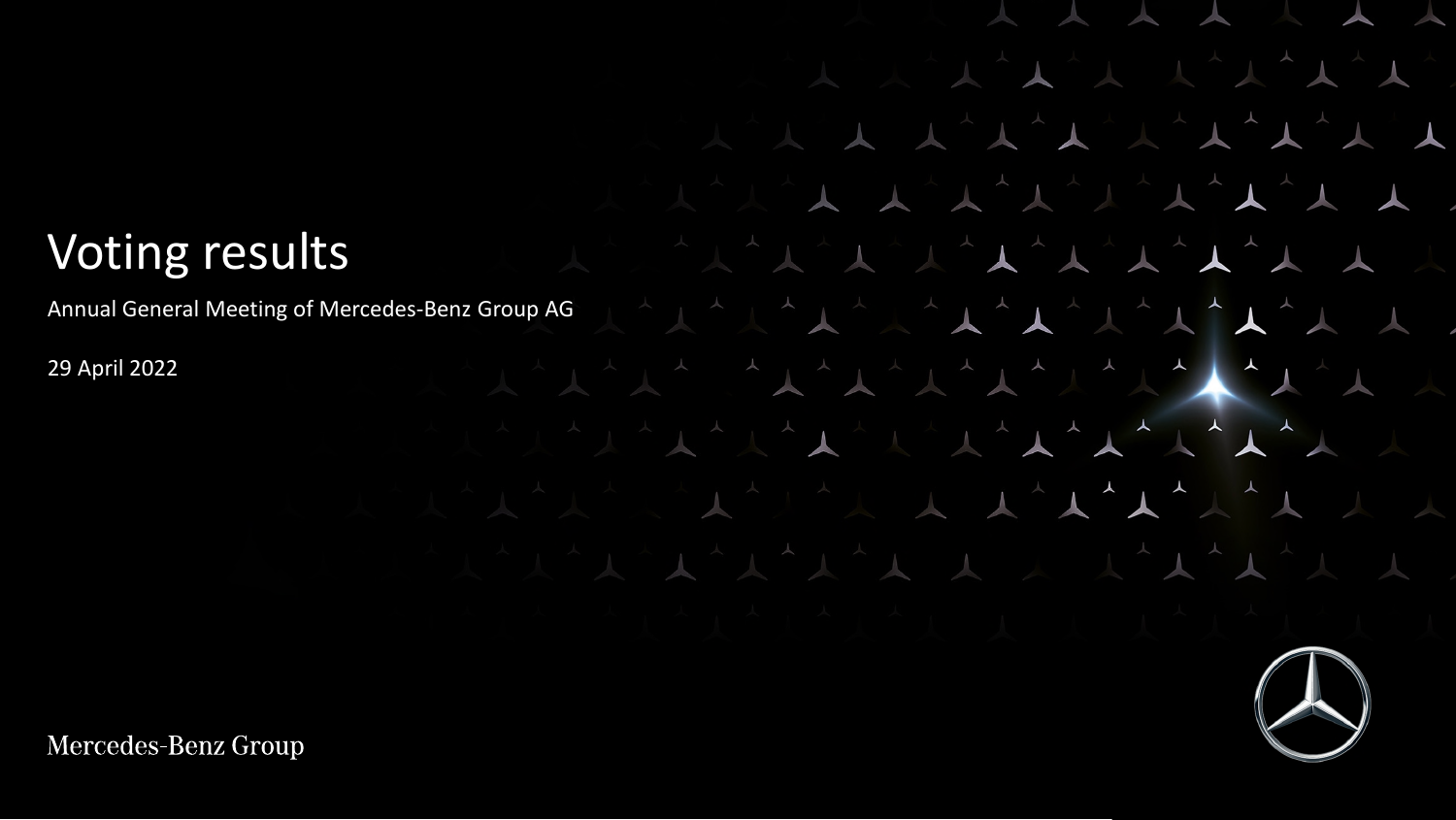## Voting results

Annual General Meeting of Mercedes-Benz Group AG

 $\begin{picture}(120,111) \put(0,0){\vector(1,0){11}} \put(15,0){\vector(1,0){11}} \put(15,0){\vector(1,0){11}} \put(15,0){\vector(1,0){11}} \put(15,0){\vector(1,0){11}} \put(15,0){\vector(1,0){11}} \put(15,0){\vector(1,0){11}} \put(15,0){\vector(1,0){11}} \put(15,0){\vector(1,0){11}} \put(15,0){\vector(1,0){11}} \put(15,0){\vector(1,0){11}} \put(15,0){\vector$ 

 $\begin{picture}(130,10) \put(0,0){\vector(1,0){10}} \put(15,0){\vector(1,0){10}} \put(15,0){\vector(1,0){10}} \put(15,0){\vector(1,0){10}} \put(15,0){\vector(1,0){10}} \put(15,0){\vector(1,0){10}} \put(15,0){\vector(1,0){10}} \put(15,0){\vector(1,0){10}} \put(15,0){\vector(1,0){10}} \put(15,0){\vector(1,0){10}} \put(15,0){\vector(1,0){10}} \put(15,0){\vector($ 

 $\blacktriangle$ 

 $\begin{array}{c|c|c|c|c|c} \n\hline\n\textbf{A} & \textbf{A} & \textbf{B} \\
\hline\n\textbf{A} & \textbf{A} & \textbf{B} & \textbf{B} \\
\hline\n\textbf{A} & \textbf{A} & \textbf{B} & \textbf{B} \\
\hline\n\textbf{A} & \textbf{A} & \textbf{B} & \textbf{B} & \textbf{B} \\
\hline\n\textbf{A} & \textbf{A} & \textbf{B} & \textbf{B} & \textbf{B} & \textbf{B} \\
\hline\n\textbf{A} & \textbf{A} & \textbf{B} & \text$ 

 $\overline{v}$ 

 $\begin{picture}(130,10) \put(0,0){\vector(1,0){10}} \put(15,0){\vector(1,0){10}} \put(15,0){\vector(1,0){10}} \put(15,0){\vector(1,0){10}} \put(15,0){\vector(1,0){10}} \put(15,0){\vector(1,0){10}} \put(15,0){\vector(1,0){10}} \put(15,0){\vector(1,0){10}} \put(15,0){\vector(1,0){10}} \put(15,0){\vector(1,0){10}} \put(15,0){\vector(1,0){10}} \put(15,0){\vector($ 

 $\begin{array}{c|c|c|c|c|c} \n\hline \n\textbf{1} & \textbf{1} & \textbf{1} & \textbf{1} & \textbf{1} & \textbf{1} & \textbf{1} & \textbf{1} & \textbf{1} & \textbf{1} & \textbf{1} & \textbf{1} & \textbf{1} & \textbf{1} & \textbf{1} & \textbf{1} & \textbf{1} & \textbf{1} & \textbf{1} & \textbf{1} & \textbf{1} & \textbf{1} & \textbf{1} & \textbf{1} & \textbf{1} & \textbf{1} & \textbf{1} & \textbf{1} &$ 

 $\overline{\phantom{a}}$ 

 $\begin{array}{c} \begin{array}{c} \begin{array}{c} \end{array} \end{array} \end{array}$ 

 $\begin{array}{cc} \mathbf{L} & \mathbf{R} \\ \mathbf{L} & \mathbf{R} \end{array}$ 

 $\sim$ 

 $\lambda$ 

 $\blacktriangle$ 

 $\overline{\phantom{a}}$ 

29 April 2022

Mercedes-Benz Group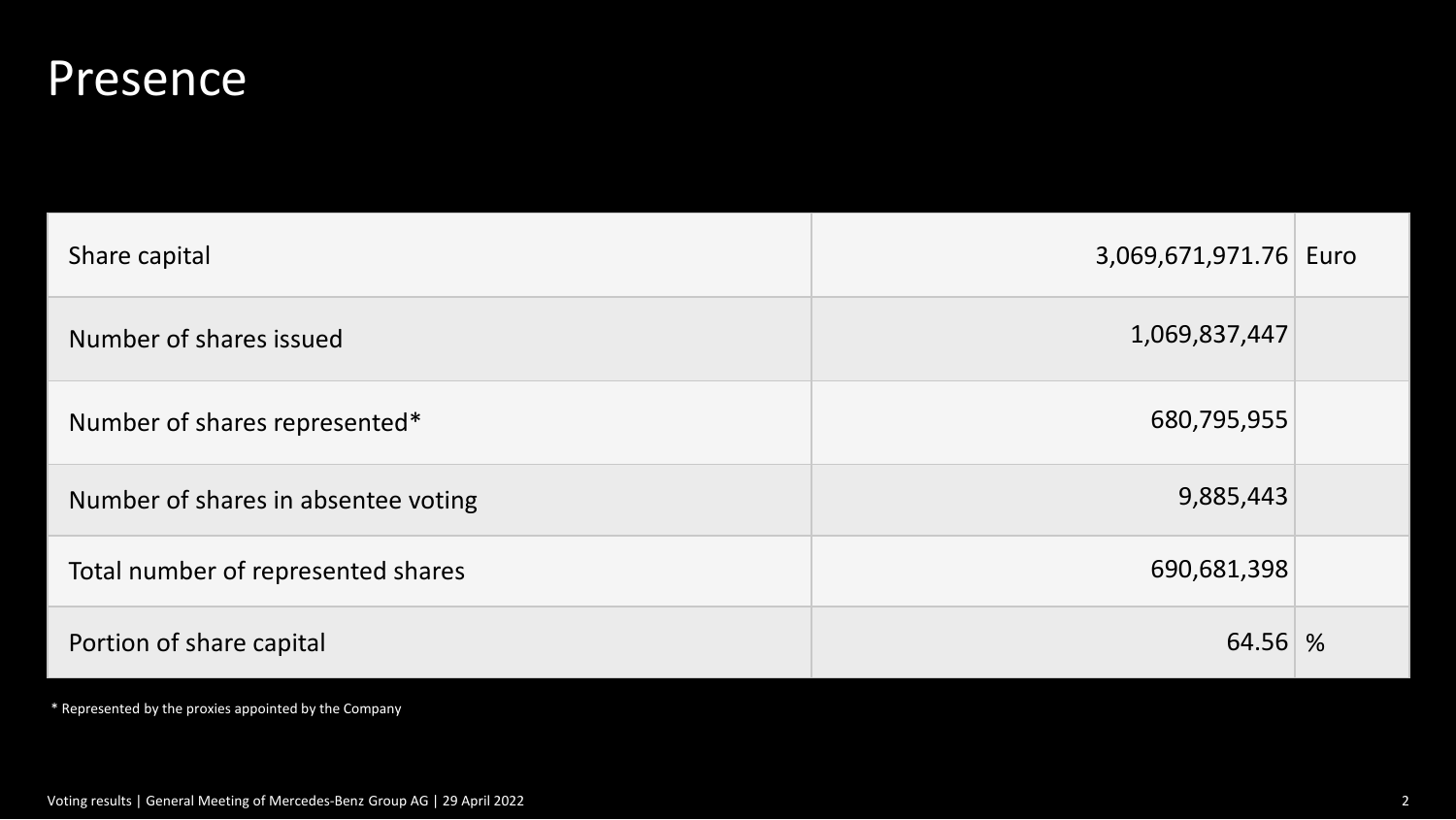#### **Presence**

| Share capital                       | 3,069,671,971.76 Euro |  |
|-------------------------------------|-----------------------|--|
| Number of shares issued             | 1,069,837,447         |  |
| Number of shares represented*       | 680,795,955           |  |
| Number of shares in absentee voting | 9,885,443             |  |
| Total number of represented shares  | 690,681,398           |  |
| Portion of share capital            | 64.56 %               |  |

\* Represented by the proxies appointed by the Company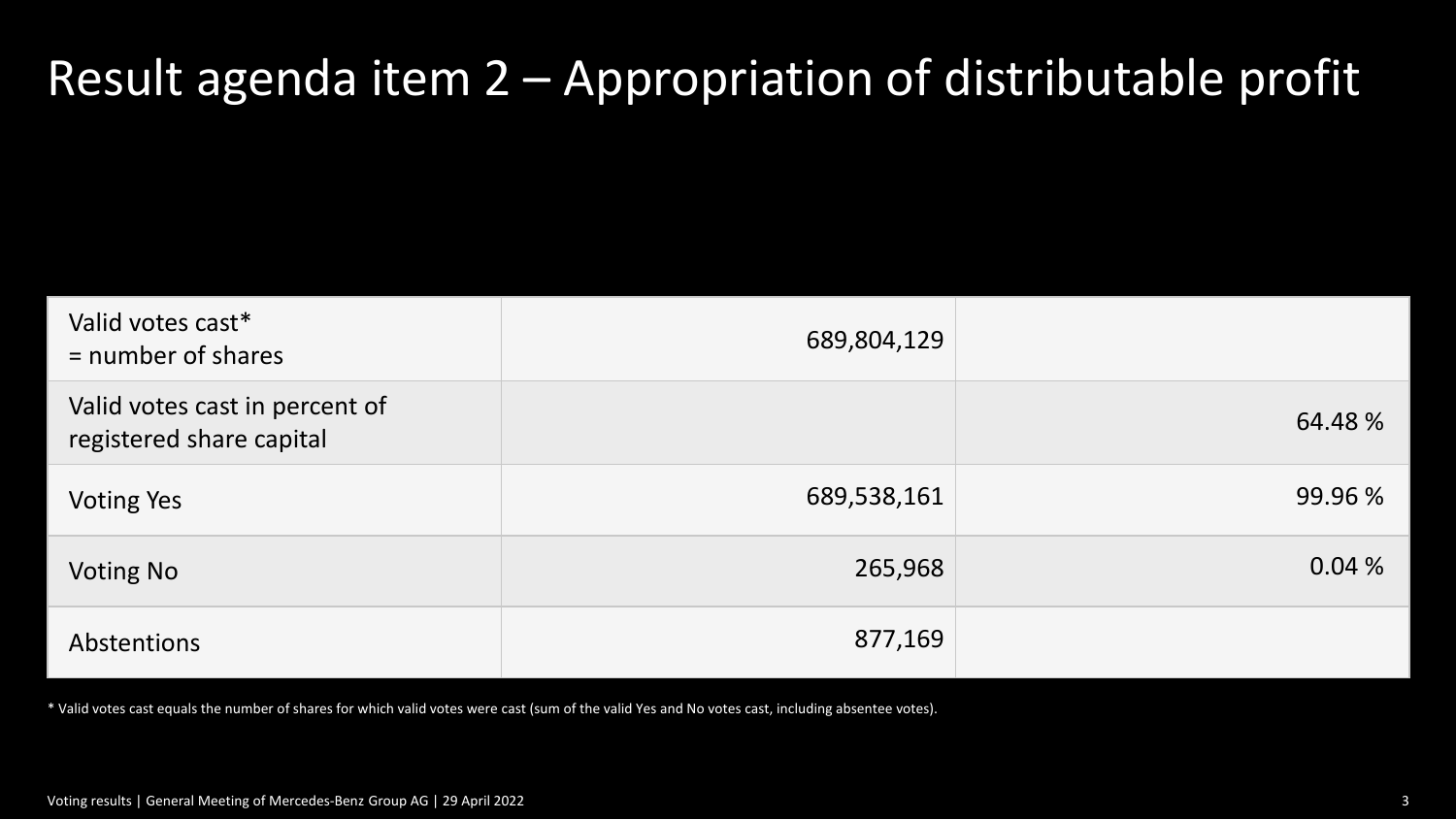### Result agenda item 2 – Appropriation of distributable profit

| Valid votes cast*<br>$=$ number of shares                  | 689,804,129 |         |
|------------------------------------------------------------|-------------|---------|
| Valid votes cast in percent of<br>registered share capital |             | 64.48 % |
| <b>Voting Yes</b>                                          | 689,538,161 | 99.96 % |
| <b>Voting No</b>                                           | 265,968     | 0.04%   |
| Abstentions                                                | 877,169     |         |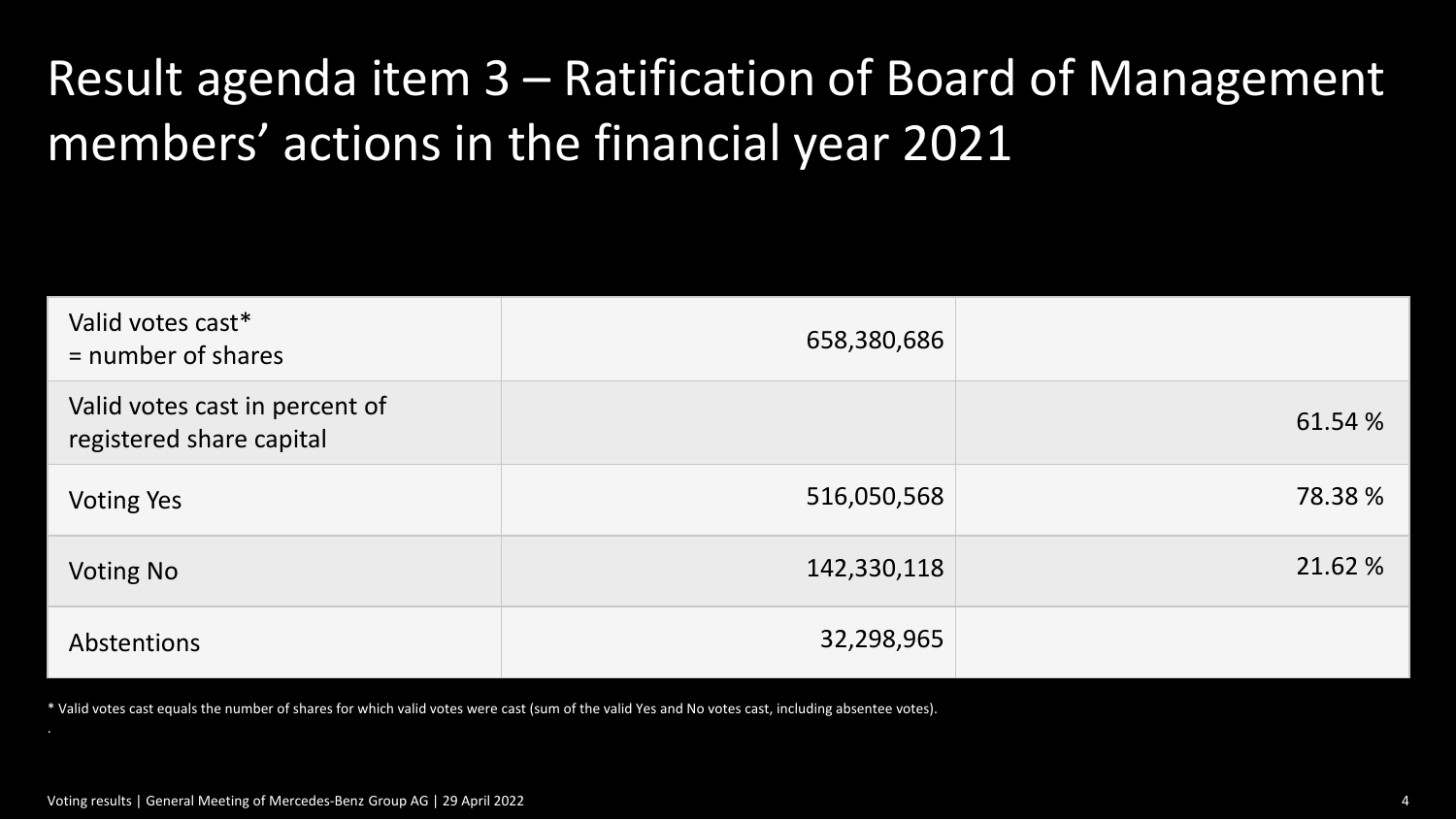## Result agenda item 3 – Ratification of Board of Management members' actions in the financial year 2021

| Valid votes cast*<br>$=$ number of shares                  | 658,380,686 |         |
|------------------------------------------------------------|-------------|---------|
| Valid votes cast in percent of<br>registered share capital |             | 61.54 % |
| <b>Voting Yes</b>                                          | 516,050,568 | 78.38 % |
| <b>Voting No</b>                                           | 142,330,118 | 21.62 % |
| Abstentions                                                | 32,298,965  |         |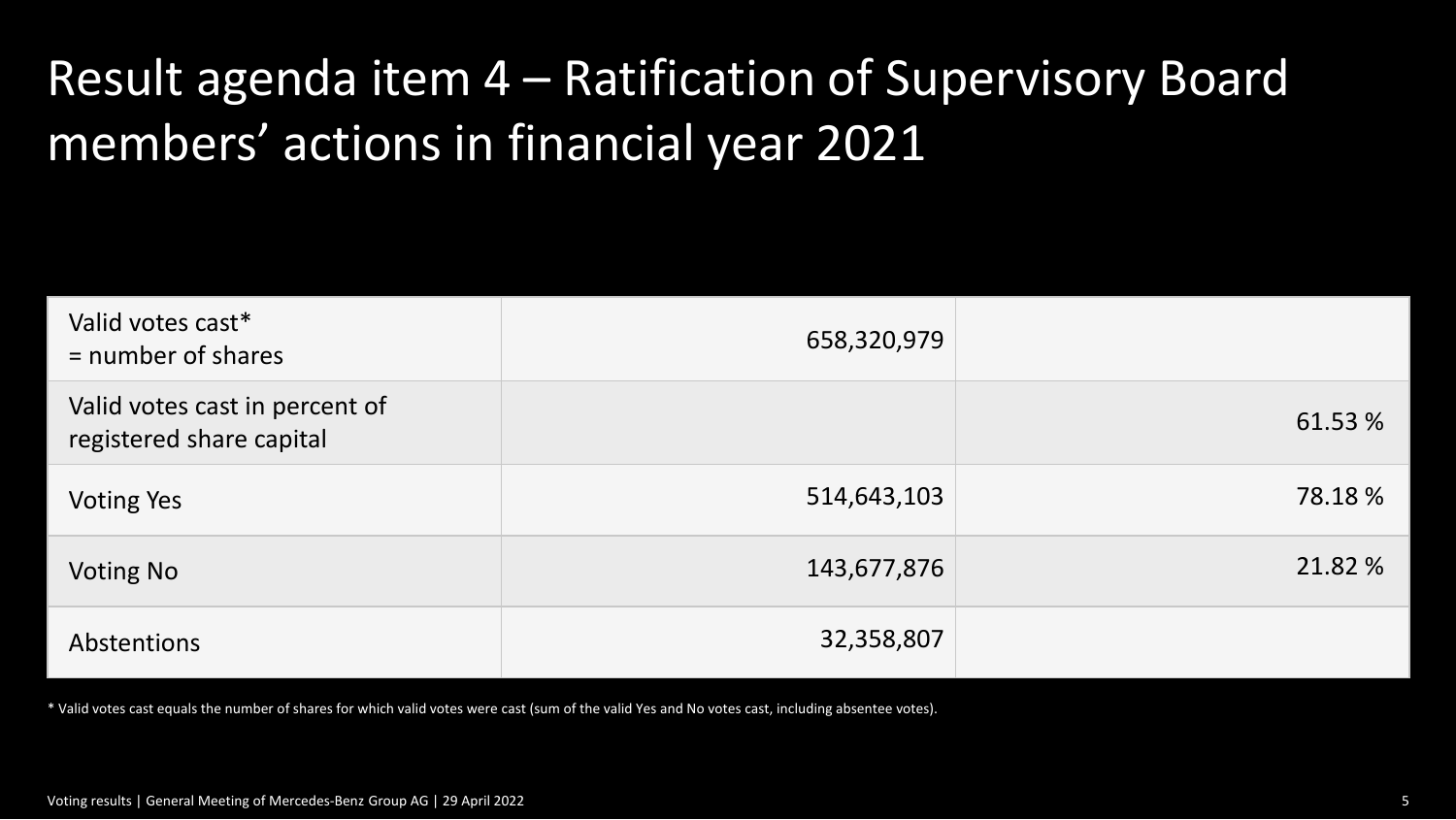## Result agenda item 4 – Ratification of Supervisory Board members' actions in financial year 2021

| Valid votes cast*<br>$=$ number of shares                  | 658,320,979 |         |
|------------------------------------------------------------|-------------|---------|
| Valid votes cast in percent of<br>registered share capital |             | 61.53 % |
| <b>Voting Yes</b>                                          | 514,643,103 | 78.18 % |
| <b>Voting No</b>                                           | 143,677,876 | 21.82 % |
| Abstentions                                                | 32,358,807  |         |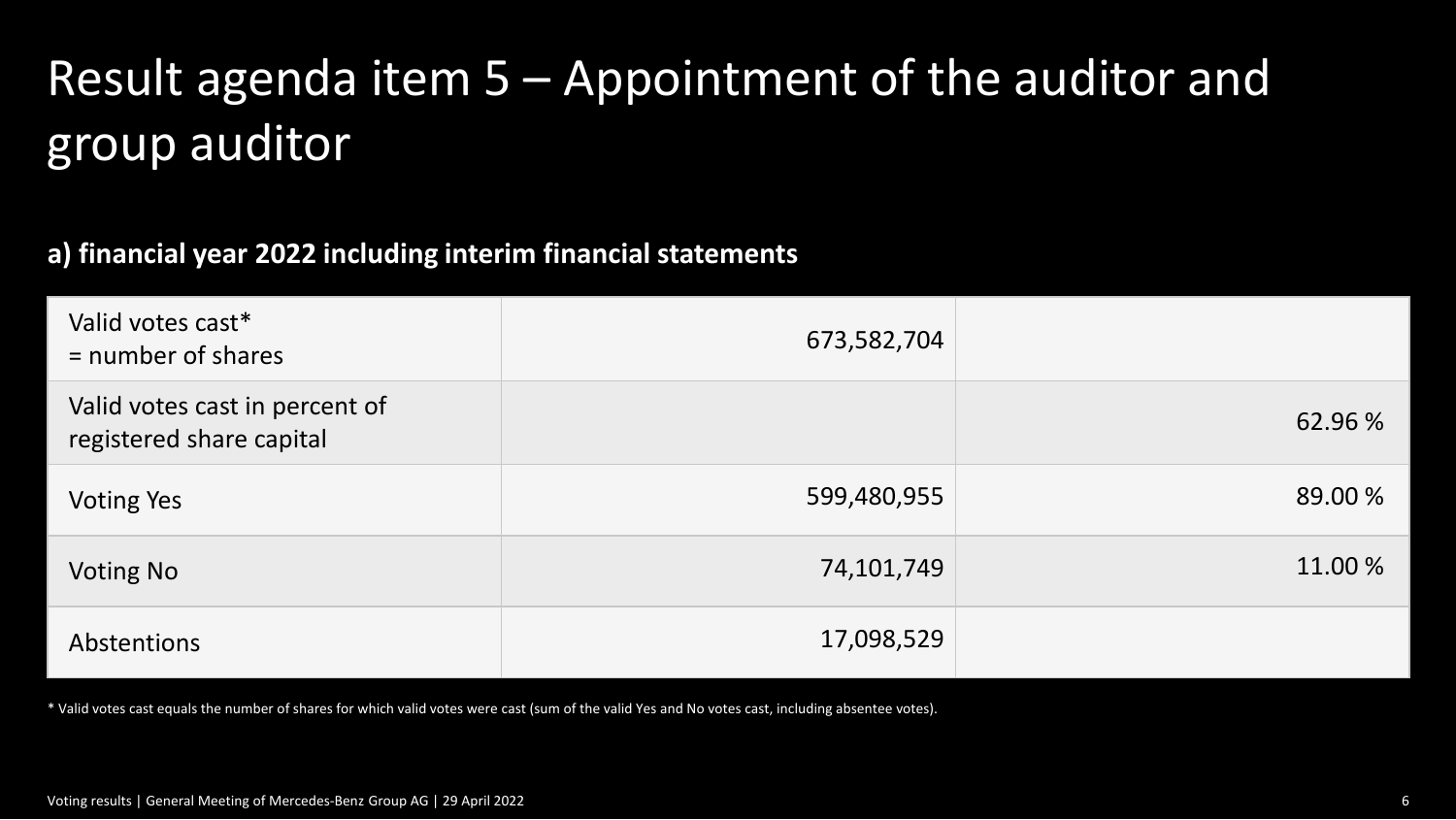# Result agenda item 5 – Appointment of the auditor and group auditor

#### **a) financial year 2022 including interim financial statements**

| Valid votes cast*<br>$=$ number of shares                  | 673,582,704 |         |
|------------------------------------------------------------|-------------|---------|
| Valid votes cast in percent of<br>registered share capital |             | 62.96 % |
| <b>Voting Yes</b>                                          | 599,480,955 | 89.00 % |
| <b>Voting No</b>                                           | 74,101,749  | 11.00 % |
| Abstentions                                                | 17,098,529  |         |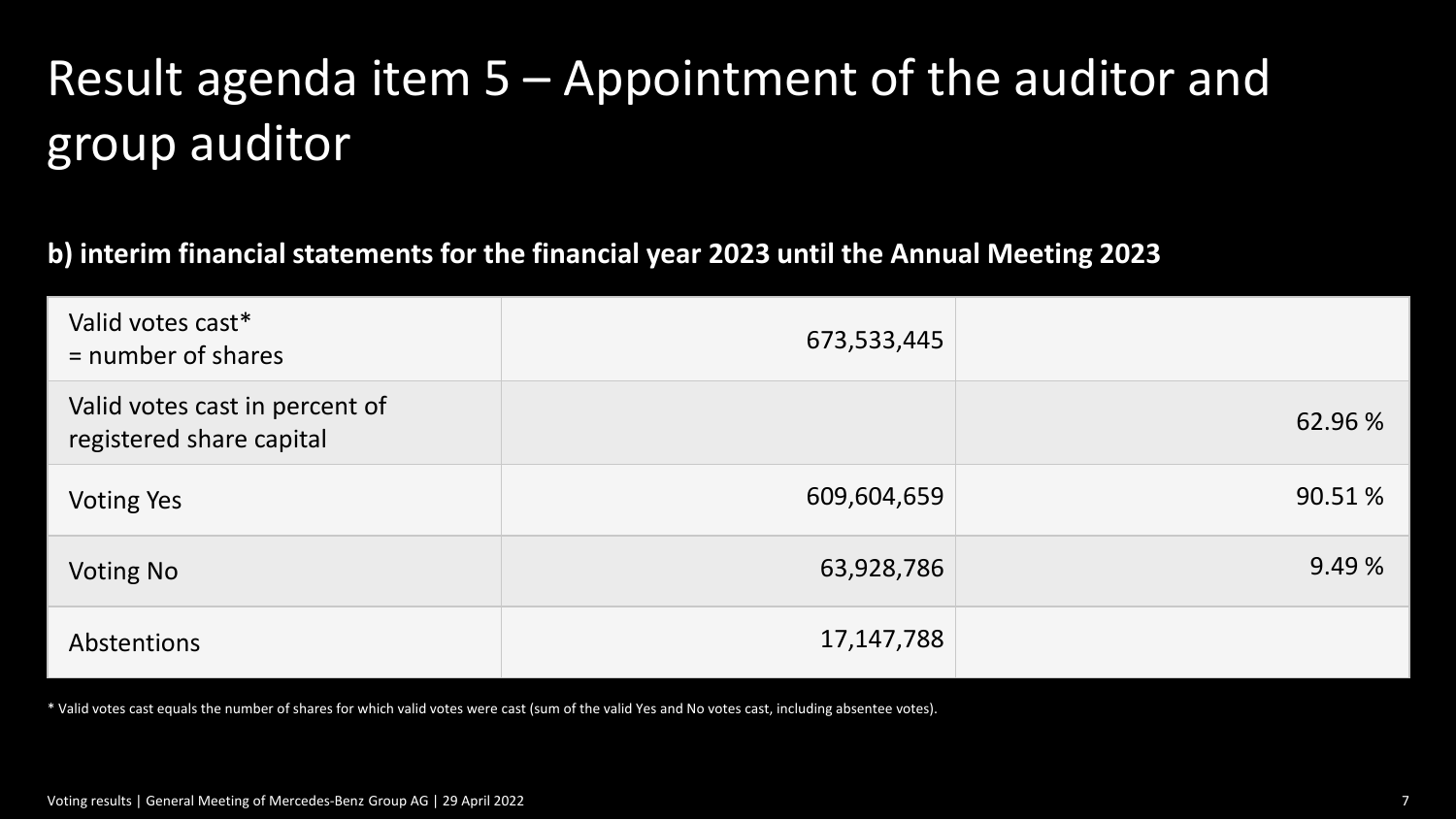# Result agenda item 5 – Appointment of the auditor and group auditor

**b) interim financial statements for the financial year 2023 until the Annual Meeting 2023**

| Valid votes cast*<br>$=$ number of shares                  | 673,533,445 |         |
|------------------------------------------------------------|-------------|---------|
| Valid votes cast in percent of<br>registered share capital |             | 62.96 % |
| <b>Voting Yes</b>                                          | 609,604,659 | 90.51 % |
| <b>Voting No</b>                                           | 63,928,786  | 9.49%   |
| Abstentions                                                | 17,147,788  |         |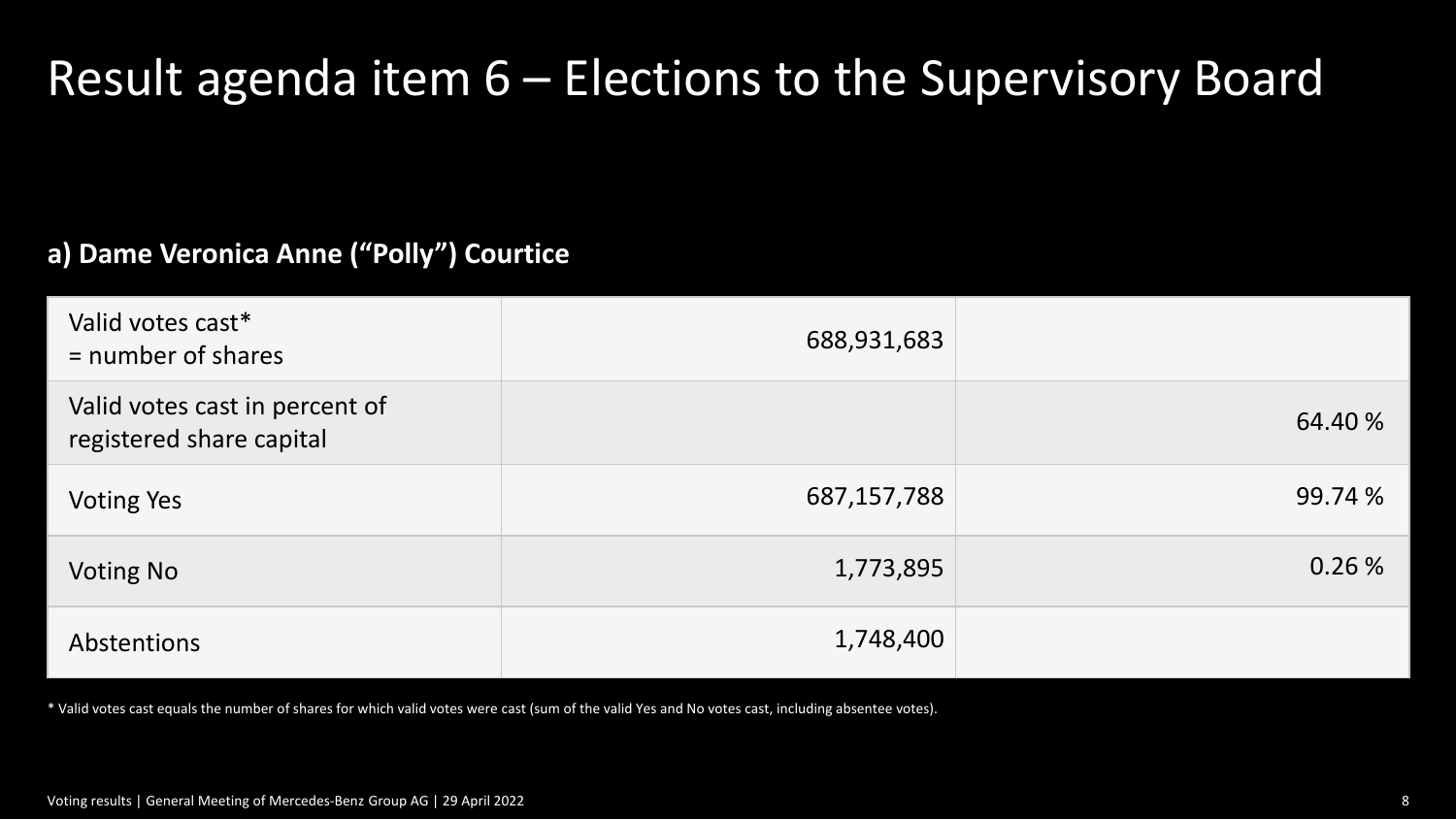## Result agenda item 6 – Elections to the Supervisory Board

#### **a) Dame Veronica Anne ("Polly") Courtice**

| Valid votes cast*<br>$=$ number of shares                  | 688,931,683 |         |
|------------------------------------------------------------|-------------|---------|
| Valid votes cast in percent of<br>registered share capital |             | 64.40 % |
| <b>Voting Yes</b>                                          | 687,157,788 | 99.74 % |
| <b>Voting No</b>                                           | 1,773,895   | 0.26%   |
| Abstentions                                                | 1,748,400   |         |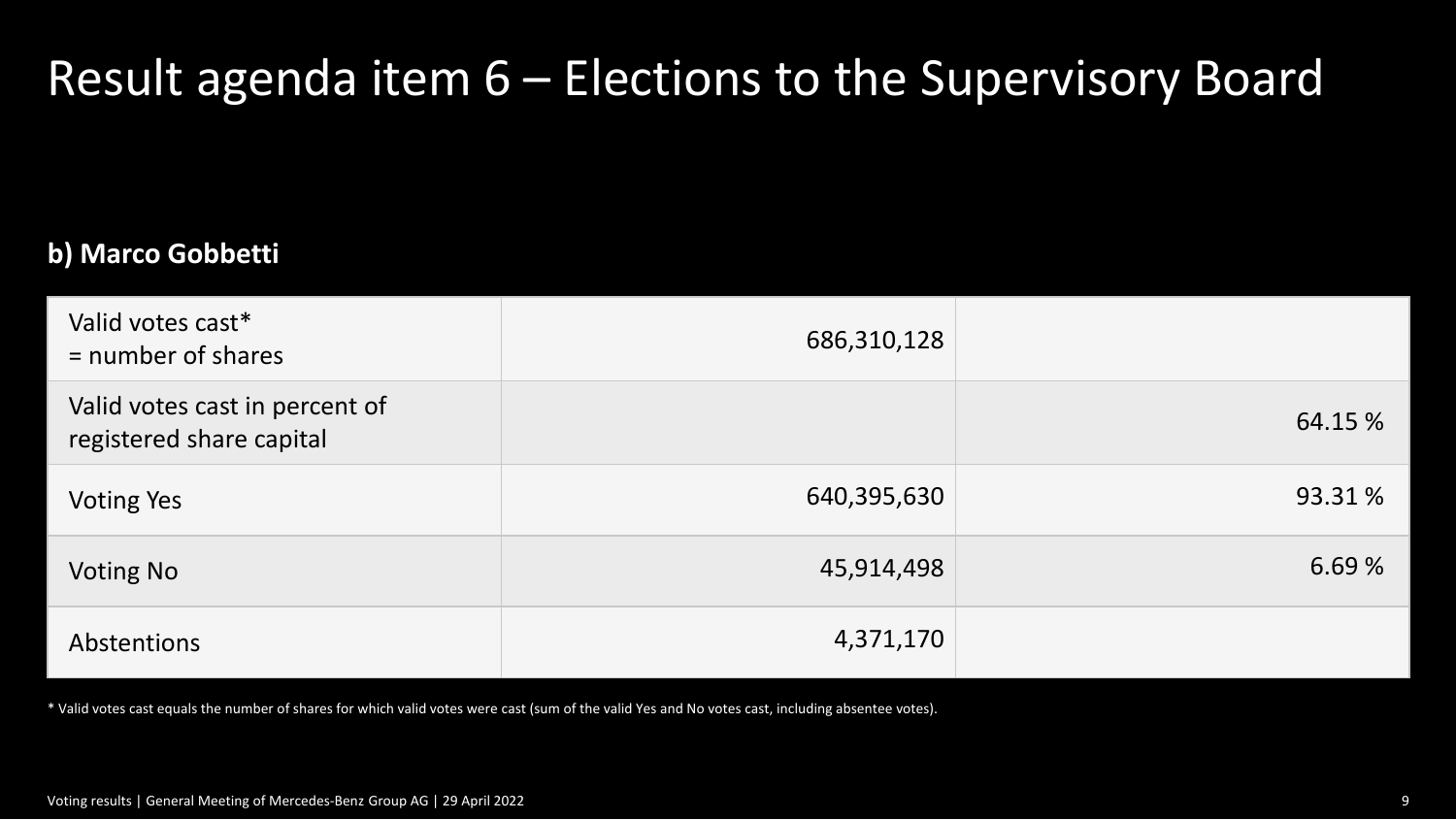## Result agenda item 6 – Elections to the Supervisory Board

#### **b) Marco Gobbetti**

| Valid votes cast*<br>$=$ number of shares                  | 686,310,128 |         |
|------------------------------------------------------------|-------------|---------|
| Valid votes cast in percent of<br>registered share capital |             | 64.15 % |
| <b>Voting Yes</b>                                          | 640,395,630 | 93.31 % |
| <b>Voting No</b>                                           | 45,914,498  | 6.69%   |
| Abstentions                                                | 4,371,170   |         |